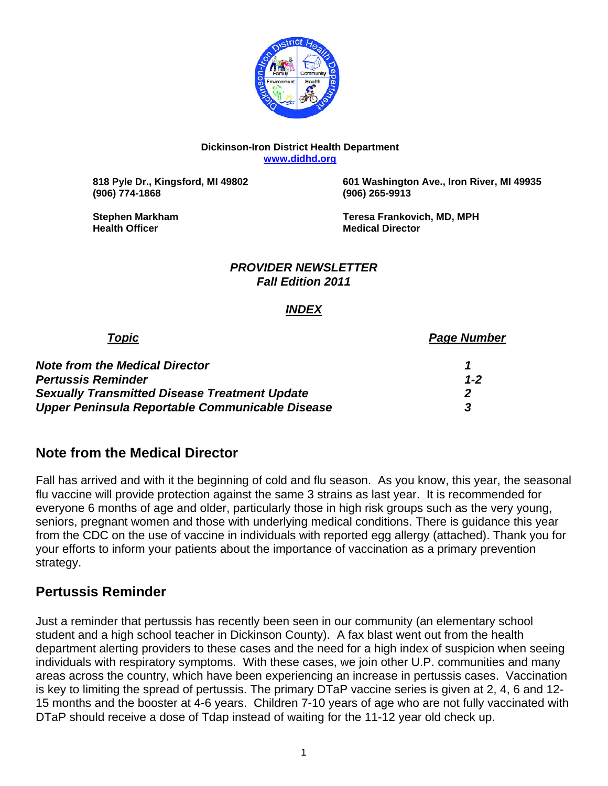

#### **Dickinson-Iron District Health Department www.didhd.org**

**(906) 774-1868 (906) 265-9913** 

 **818 Pyle Dr., Kingsford, MI 49802 601 Washington Ave., Iron River, MI 49935** 

**Health Officer Community Community Community Community Community Community Community Community Community Community** 

**Stephen Markham Teresa Frankovich, MD, MPH** 

#### *PROVIDER NEWSLETTER Fall Edition 2011*

## *INDEX*

| Topic                                                | <b>Page Number</b> |  |  |  |
|------------------------------------------------------|--------------------|--|--|--|
| <b>Note from the Medical Director</b>                |                    |  |  |  |
| <b>Pertussis Reminder</b>                            | $1 - 2$            |  |  |  |
| <b>Sexually Transmitted Disease Treatment Update</b> |                    |  |  |  |
| Upper Peninsula Reportable Communicable Disease      |                    |  |  |  |

# **Note from the Medical Director**

Fall has arrived and with it the beginning of cold and flu season. As you know, this year, the seasonal flu vaccine will provide protection against the same 3 strains as last year. It is recommended for everyone 6 months of age and older, particularly those in high risk groups such as the very young, seniors, pregnant women and those with underlying medical conditions. There is guidance this year from the CDC on the use of vaccine in individuals with reported egg allergy (attached). Thank you for your efforts to inform your patients about the importance of vaccination as a primary prevention strategy.

# **Pertussis Reminder**

Just a reminder that pertussis has recently been seen in our community (an elementary school student and a high school teacher in Dickinson County). A fax blast went out from the health department alerting providers to these cases and the need for a high index of suspicion when seeing individuals with respiratory symptoms. With these cases, we join other U.P. communities and many areas across the country, which have been experiencing an increase in pertussis cases. Vaccination is key to limiting the spread of pertussis. The primary DTaP vaccine series is given at 2, 4, 6 and 12- 15 months and the booster at 4-6 years. Children 7-10 years of age who are not fully vaccinated with DTaP should receive a dose of Tdap instead of waiting for the 11-12 year old check up.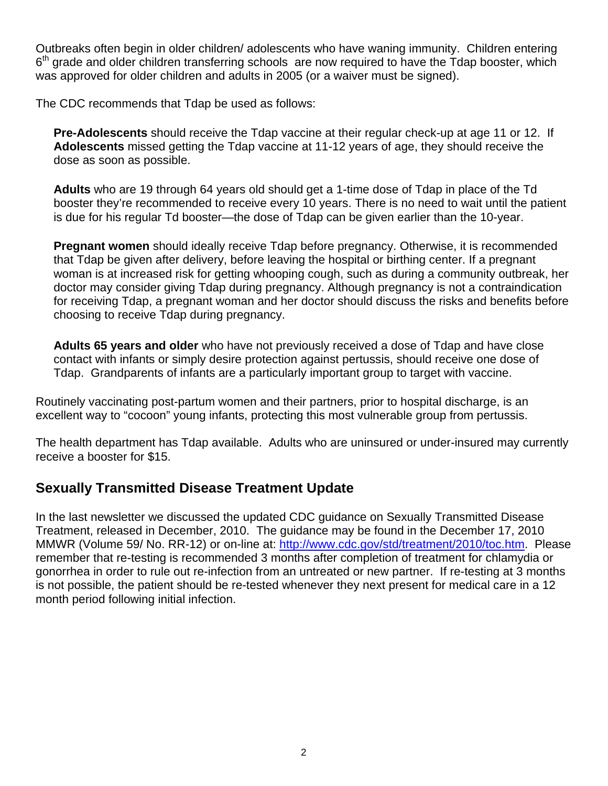Outbreaks often begin in older children/ adolescents who have waning immunity. Children entering  $6<sup>th</sup>$  grade and older children transferring schools are now required to have the Tdap booster, which was approved for older children and adults in 2005 (or a waiver must be signed).

The CDC recommends that Tdap be used as follows:

**Pre-Adolescents** should receive the Tdap vaccine at their regular check-up at age 11 or 12. If **Adolescents** missed getting the Tdap vaccine at 11-12 years of age, they should receive the dose as soon as possible.

**Adults** who are 19 through 64 years old should get a 1-time dose of Tdap in place of the Td booster they're recommended to receive every 10 years. There is no need to wait until the patient is due for his regular Td booster—the dose of Tdap can be given earlier than the 10-year.

**Pregnant women** should ideally receive Tdap before pregnancy. Otherwise, it is recommended that Tdap be given after delivery, before leaving the hospital or birthing center. If a pregnant woman is at increased risk for getting whooping cough, such as during a community outbreak, her doctor may consider giving Tdap during pregnancy. Although pregnancy is not a contraindication for receiving Tdap, a pregnant woman and her doctor should discuss the risks and benefits before choosing to receive Tdap during pregnancy.

**Adults 65 years and older** who have not previously received a dose of Tdap and have close contact with infants or simply desire protection against pertussis, should receive one dose of Tdap. Grandparents of infants are a particularly important group to target with vaccine.

Routinely vaccinating post-partum women and their partners, prior to hospital discharge, is an excellent way to "cocoon" young infants, protecting this most vulnerable group from pertussis.

The health department has Tdap available. Adults who are uninsured or under-insured may currently receive a booster for \$15.

# **Sexually Transmitted Disease Treatment Update**

In the last newsletter we discussed the updated CDC guidance on Sexually Transmitted Disease Treatment, released in December, 2010. The guidance may be found in the December 17, 2010 MMWR (Volume 59/ No. RR-12) or on-line at: http://www.cdc.gov/std/treatment/2010/toc.htm. Please remember that re-testing is recommended 3 months after completion of treatment for chlamydia or gonorrhea in order to rule out re-infection from an untreated or new partner. If re-testing at 3 months is not possible, the patient should be re-tested whenever they next present for medical care in a 12 month period following initial infection.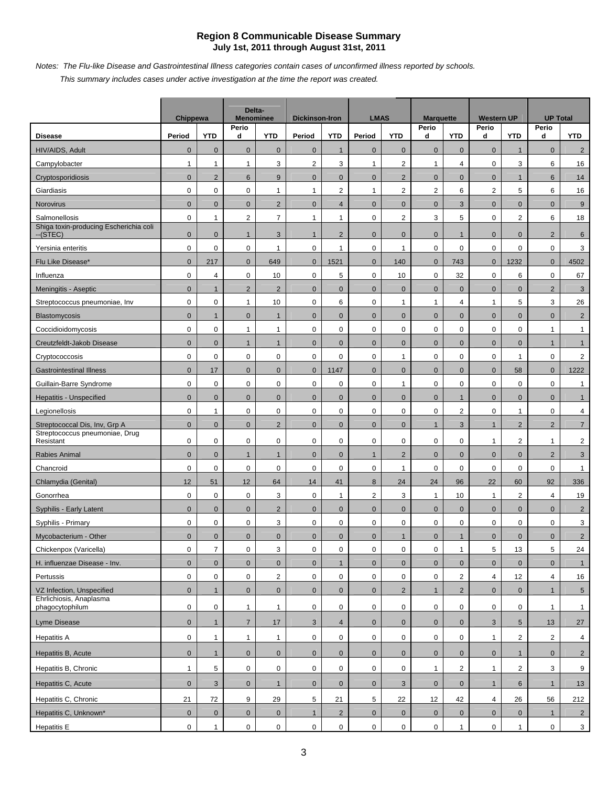#### **Region 8 Communicable Disease Summary July 1st, 2011 through August 31st, 2011**

*Notes: The Flu-like Disease and Gastrointestinal Illness categories contain cases of unconfirmed illness reported by schools.* 

*This summary includes cases under active investigation at the time the report was created.*

|                                                     | <b>Chippewa</b> |                | Delta-<br><b>Menominee</b> |                     | <b>Dickinson-Iron</b> |                | <b>LMAS</b>         |                     | <b>Marquette</b>    |                | <b>Western UP</b> |                 | <b>UP Total</b> |                 |
|-----------------------------------------------------|-----------------|----------------|----------------------------|---------------------|-----------------------|----------------|---------------------|---------------------|---------------------|----------------|-------------------|-----------------|-----------------|-----------------|
| <b>Disease</b>                                      | Period          | <b>YTD</b>     | Perio<br>d                 | <b>YTD</b>          | Period                | <b>YTD</b>     | Period              | <b>YTD</b>          | Perio<br>d          | <b>YTD</b>     | Perio<br>d        | <b>YTD</b>      | Perio<br>d      | <b>YTD</b>      |
| HIV/AIDS, Adult                                     | $\mathbf 0$     | $\mathbf 0$    | $\mathbf{0}$               | $\mathbf{0}$        | $\mathbf 0$           | $\mathbf{1}$   | $\mathbf{0}$        | $\mathbf 0$         | $\mathbf 0$         | $\mathbf{0}$   | $\mathbf 0$       | $\mathbf{1}$    | $\mathbf 0$     | $\overline{2}$  |
| Campylobacter                                       | $\mathbf{1}$    | $\mathbf{1}$   | $\mathbf{1}$               | 3                   | $\overline{2}$        | 3              | $\mathbf{1}$        | $\overline{2}$      | $\mathbf{1}$        | $\overline{4}$ | 0                 | 3               | 6               | 16              |
| Cryptosporidiosis                                   | $\mathbf 0$     | $\overline{2}$ | 6                          | 9                   | $\mathbf 0$           | $\mathbf{0}$   | $\mathbf{0}$        | $\overline{2}$      | $\mathbf{0}$        | $\mathbf{0}$   | $\mathbf 0$       | $\mathbf{1}$    | 6               | 14              |
| Giardiasis                                          | $\mathbf 0$     | $\mathbf 0$    | 0                          | $\mathbf{1}$        | $\mathbf{1}$          | 2              | $\mathbf{1}$        | $\overline{2}$      | 2                   | 6              | $\overline{2}$    | 5               | 6               | 16              |
| Norovirus                                           | $\mathbf{0}$    | $\mathbf{0}$   | $\mathbf{0}$               | 2                   | $\mathbf{0}$          | $\overline{4}$ | $\overline{0}$      | $\mathbf 0$         | $\mathbf 0$         | 3              | $\mathbf{0}$      | $\mathbf{0}$    | $\mathbf{0}$    | 9               |
| Salmonellosis                                       | $\mathbf 0$     | $\mathbf{1}$   | $\overline{2}$             | $\overline{7}$      | $\mathbf{1}$          | $\mathbf{1}$   | $\mathbf 0$         | $\overline{2}$      | 3                   | 5              | 0                 | $\mathbf 2$     | 6               | 18              |
| Shiga toxin-producing Escherichia coli<br>$-(STEC)$ | $\mathbf 0$     | $\mathbf{0}$   | $\mathbf{1}$               | 3                   | $\mathbf{1}$          | $\overline{c}$ | $\mathbf{0}$        | $\mathbf 0$         | $\mathbf 0$         | $\mathbf{1}$   | $\mathbf 0$       | $\mathbf{0}$    | $\overline{2}$  | 6               |
| Yersinia enteritis                                  | 0               | $\mathsf 0$    | $\mathsf 0$                | 1                   | $\mathbf 0$           | 1              | 0                   | $\mathbf{1}$        | $\mathbf 0$         | $\mathbf 0$    | $\mathbf 0$       | $\mathbf 0$     | $\mathbf 0$     | 3               |
| Flu Like Disease*                                   | $\pmb{0}$       | 217            | $\mathbf 0$                | 649                 | $\pmb{0}$             | 1521           | $\pmb{0}$           | 140                 | $\mathbf 0$         | 743            | $\mathbf 0$       | 1232            | $\mathbf 0$     | 4502            |
| Influenza                                           | 0               | 4              | $\mathsf 0$                | 10                  | 0                     | 5              | $\mathbf 0$         | 10                  | $\mathbf 0$         | 32             | $\mathbf 0$       | 6               | 0               | 67              |
| Meningitis - Aseptic                                | $\mathbf 0$     | $\mathbf{1}$   | $\overline{2}$             | $\overline{2}$      | $\pmb{0}$             | $\pmb{0}$      | $\pmb{0}$           | $\pmb{0}$           | $\mathbf 0$         | $\mathbf 0$    | $\pmb{0}$         | $\mathbf 0$     | $\overline{2}$  | 3               |
| Streptococcus pneumoniae, Inv                       | 0               | 0              | $\mathbf{1}$               | 10                  | $\mathbf 0$           | 6              | $\mathbf 0$         | $\mathbf{1}$        | $\mathbf{1}$        | 4              | $\mathbf{1}$      | 5               | 3               | 26              |
| <b>Blastomycosis</b>                                | $\pmb{0}$       | $\mathbf{1}$   | $\mathbf{0}$               | $\mathbf{1}$        | $\pmb{0}$             | $\pmb{0}$      | $\pmb{0}$           | $\pmb{0}$           | $\mathbf 0$         | $\mathbf 0$    | $\mathbf 0$       | $\mathbf 0$     | $\mathbf 0$     | $\overline{2}$  |
| Coccidioidomycosis                                  | 0               | $\mathbf 0$    | $\mathbf{1}$               | $\mathbf{1}$        | 0                     | $\mathbf 0$    | $\mathbf 0$         | 0                   | $\mathbf 0$         | $\mathbf 0$    | $\mathbf 0$       | $\mathbf 0$     | $\mathbf{1}$    | $\mathbf{1}$    |
| Creutzfeldt-Jakob Disease                           | $\mathbf 0$     | $\mathbf{0}$   | $\mathbf{1}$               | $\mathbf{1}$        | $\pmb{0}$             | $\mathbf 0$    | $\mathbf 0$         | $\pmb{0}$           | $\mathbf 0$         | $\mathbf 0$    | $\mathbf 0$       | $\pmb{0}$       | $\mathbf{1}$    | $\mathbf{1}$    |
| Cryptococcosis                                      | 0               | 0              | 0                          | 0                   | $\mathbf 0$           | $\pmb{0}$      | $\mathbf 0$         | 1                   | $\boldsymbol{0}$    | 0              | $\mathbf 0$       | $\mathbf{1}$    | $\mathbf 0$     | $\overline{2}$  |
| <b>Gastrointestinal Illness</b>                     | $\mathbf 0$     | 17             | $\mathbf{0}$               | $\mathbf{0}$        | $\mathbf{0}$          | 1147           | $\mathbf{0}$        | $\mathbf 0$         | $\mathbf 0$         | $\mathbf 0$    | $\mathbf 0$       | 58              | $\mathbf{0}$    | 1222            |
| Guillain-Barre Syndrome                             | 0               | 0              | $\mathbf 0$                | $\pmb{0}$           | 0                     | 0              | $\mathbf 0$         | $\mathbf{1}$        | $\mathbf 0$         | 0              | 0                 | $\mathbf 0$     | $\mathbf 0$     | $\mathbf{1}$    |
| Hepatitis - Unspecified                             | $\mathbf 0$     | $\mathbf{0}$   | $\mathbf{0}$               | $\mathbf{0}$        | $\mathbf 0$           | $\mathbf 0$    | $\mathbf{0}$        | $\mathbf 0$         | $\mathbf 0$         | $\mathbf{1}$   | $\mathbf 0$       | $\mathbf{0}$    | $\mathbf 0$     | $\mathbf{1}$    |
| Legionellosis                                       | 0               | $\mathbf{1}$   | 0                          | $\mathbf 0$         | 0                     | 0              | $\mathbf 0$         | 0                   | $\mathbf 0$         | $\overline{2}$ | $\mathbf 0$       | $\mathbf{1}$    | 0               | 4               |
| Streptococcal Dis, Inv, Grp A                       | $\mathbf{0}$    | $\mathbf{0}$   | $\mathbf{0}$               | $\overline{2}$      | $\mathbf{0}$          | $\mathbf{0}$   | $\overline{0}$      | $\mathbf{0}$        | $\mathbf{1}$        | 3              | $\mathbf{1}$      | 2               | $\overline{2}$  | $\overline{7}$  |
| Streptococcus pneumoniae, Drug<br>Resistant         | 0               | 0              | 0                          | 0                   | $\mathbf 0$           | $\mathbf 0$    | $\mathbf 0$         | $\mathbf 0$         | $\mathbf 0$         | $\mathbf 0$    | $\mathbf{1}$      | $\sqrt{2}$      | $\mathbf{1}$    | $\overline{2}$  |
| Rabies Animal                                       | $\mathbf 0$     | $\mathbf{0}$   | $\mathbf{1}$               | $\mathbf{1}$        | $\mathbf 0$           | $\mathbf{0}$   | $\mathbf{1}$        | $\overline{2}$      | $\mathbf 0$         | $\mathbf 0$    | $\mathbf 0$       | $\mathbf{0}$    | $\overline{2}$  | $\mathbf{3}$    |
| Chancroid                                           | 0               | $\mathbf 0$    | $\pmb{0}$                  | $\mathbf 0$         | 0                     | $\pmb{0}$      | $\mathbf 0$         | $\mathbf{1}$        | $\mathsf 0$         | 0              | 0                 | $\mathbf 0$     | 0               | $\mathbf{1}$    |
| Chlamydia (Genital)                                 | 12              | 51             | 12                         | 64                  | 14                    | 41             | 8                   | 24                  | 24                  | 96             | 22                | 60              | 92              | 336             |
| Gonorrhea                                           | 0               | $\pmb{0}$      | $\mathbf 0$                | 3                   | 0                     | $\mathbf{1}$   | $\overline{2}$      | 3                   | $\mathbf{1}$        | 10             | $\mathbf{1}$      | 2               | 4               | 19              |
| Syphilis - Early Latent                             | $\mathbf 0$     | $\mathbf{0}$   | $\mathbf{0}$               | $\overline{2}$      | $\mathbf 0$           | $\mathbf 0$    | $\mathbf{0}$        | $\mathbf 0$         | $\mathbf 0$         | $\mathbf 0$    | $\mathbf 0$       | $\mathbf{0}$    | $\mathbf 0$     | $\overline{2}$  |
| Syphilis - Primary                                  | 0               | 0              | 0                          | 3                   | 0                     | $\mathbf 0$    | $\mathbf 0$         | 0                   | $\mathbf 0$         | 0              | 0                 | $\mathbf 0$     | 0               | 3               |
| Mycobacterium - Other                               | $\mathbf 0$     | $\mathbf 0$    | $\mathbf 0$                | $\mathbf 0$         | $\mathbf 0$           | $\pmb{0}$      | $\pmb{0}$           | $\mathbf{1}$        | $\mathbf 0$         | $\mathbf{1}$   | $\pmb{0}$         | $\pmb{0}$       | $\mathbf 0$     | $\overline{2}$  |
| Chickenpox (Varicella)                              | 0               | $\overline{7}$ | 0                          | 3                   | $\mathbf 0$           | $\mathsf 0$    | $\mathsf{O}\xspace$ | 0                   | $\boldsymbol{0}$    | $\mathbf{1}$   | 5                 | 13              | 5               | 24              |
| H. influenzae Disease - Inv.                        | $\mathbf 0$     | $\mathbf{0}$   | $\mathbf{0}$               | $\mathbf 0$         | $\mathbf{0}$          | $\mathbf{1}$   | $\overline{0}$      | $\mathbf{0}$        | $\mathbf 0$         | $\mathbf{0}$   | $\mathbf 0$       | $\mathbf{0}$    | $\overline{0}$  | $\mathbf{1}$    |
| Pertussis                                           | $\mathsf{O}$    | $\mathbf 0$    | $\mathsf{O}\xspace$        | $\overline{2}$      | $\mathbf 0$           | $\mathbf 0$    | $\mathsf{O}\xspace$ | $\mathbf 0$         | $\mathsf{O}\xspace$ | $\overline{2}$ | $\overline{4}$    | 12              | $\overline{4}$  | 16              |
| VZ Infection, Unspecified                           | $\mathbf{0}$    | $\mathbf{1}$   | $\overline{0}$             | $\mathbf{0}$        | $\overline{0}$        | $\mathbf{0}$   | $\overline{0}$      | $\overline{2}$      | $\mathbf{1}$        | $\overline{2}$ | $\mathbf 0$       | $\overline{0}$  | $\mathbf{1}$    | 5 <sub>5</sub>  |
| Ehrlichiosis, Anaplasma<br>phagocytophilum          | $\mathbf 0$     | $\mathbf 0$    | $\mathbf{1}$               | $\mathbf{1}$        | 0                     | $\mathbf 0$    | $\mathsf{O}$        | $\mathbf 0$         | $\mathsf 0$         | 0              | 0                 | $\mathbf 0$     | $\mathbf{1}$    | $\mathbf{1}$    |
| Lyme Disease                                        | $\mathbf 0$     | $\mathbf{1}$   | $\overline{7}$             | 17                  | $\mathbf{3}$          | $\overline{4}$ | $\pmb{0}$           | $\mathbf 0$         | $\mathbf 0$         | $\mathbf{0}$   | $\mathbf{3}$      | $5\phantom{.0}$ | 13              | 27              |
| <b>Hepatitis A</b>                                  | $\mathbf 0$     | $\mathbf{1}$   | $\mathbf{1}$               | $\mathbf{1}$        | $\mathsf{O}$          | $\mathbf 0$    | $\mathsf{O}$        | $\mathbf 0$         | $\mathbf 0$         | $\mathbf 0$    | $\mathbf{1}$      | $\overline{2}$  | $\overline{2}$  | $\overline{4}$  |
| Hepatitis B, Acute                                  | $\mathbf 0$     | $\mathbf{1}$   | $\mathbf 0$                | $\mathbf 0$         | $\overline{0}$        | $\mathbf 0$    | $\overline{0}$      | $\mathbf{0}$        | $\mathbf{0}$        | $\mathbf 0$    | $\mathbf 0$       | $\mathbf{1}$    | $\mathbf 0$     | $2^{\circ}$     |
| Hepatitis B, Chronic                                | $\mathbf{1}$    | 5              | 0                          | $\mathbf 0$         | $\mathbf 0$           | $\mathbf 0$    | $\mathbf 0$         | 0                   | $\mathbf{1}$        | $\overline{2}$ | $\mathbf{1}$      | $\overline{2}$  | 3               | 9               |
| Hepatitis C, Acute                                  | $\overline{0}$  | $\mathbf{3}$   | $\mathbf 0$                | $\mathbf{1}$        | $\overline{0}$        | $\mathbf{0}$   | $\overline{0}$      | 3                   | $\mathbf 0$         | $\mathbf 0$    | $\mathbf{1}$      | $6\phantom{.}$  | $\mathbf{1}$    | 13              |
| Hepatitis C, Chronic                                | 21              | 72             | 9                          | 29                  | 5                     | 21             | 5                   | 22                  | 12                  | 42             | $\overline{4}$    | 26              | 56              | 212             |
| Hepatitis C, Unknown*                               | $\mathbf 0$     | $\pmb{0}$      | $\mathbf 0$                | $\mathsf{O}\xspace$ | 1                     | $\overline{2}$ | $\overline{0}$      | $\mathsf{O}\xspace$ | $\mathbf 0$         | $\mathbf 0$    | $\mathbf{0}$      | $\mathbf 0$     | $\mathbf{1}$    | $2\overline{ }$ |
| <b>Hepatitis E</b>                                  | $\mathbf 0$     | $\mathbf{1}$   | 0                          | $\mathbf 0$         | $\overline{0}$        | $\mathbf 0$    | $\overline{0}$      | $\overline{0}$      | $\mathsf{O}$        | $\mathbf{1}$   | $\overline{0}$    | $\mathbf{1}$    | $\mathbf 0$     | $\overline{3}$  |